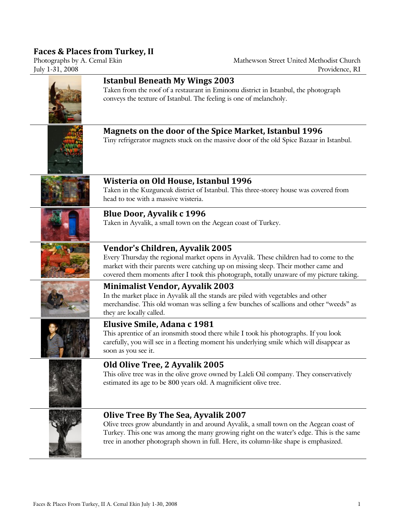## **Faces & Places from Turkey, II**

#### Mathewson Street United Methodist Church July 1-31, 2008 Providence, RI

| <b>Istanbul Beneath My Wings 2003</b><br>Taken from the roof of a restaurant in Eminonu district in Istanbul, the photograph<br>conveys the texture of Istanbul. The feeling is one of melancholy.                                                                                                               |
|------------------------------------------------------------------------------------------------------------------------------------------------------------------------------------------------------------------------------------------------------------------------------------------------------------------|
| <b>Magnets on the door of the Spice Market, Istanbul 1996</b><br>Tiny refrigerator magnets stuck on the massive door of the old Spice Bazaar in Istanbul.                                                                                                                                                        |
| Wisteria on Old House, Istanbul 1996<br>Taken in the Kuzguncuk district of Istanbul. This three-storey house was covered from<br>head to toe with a massive wisteria.                                                                                                                                            |
| <b>Blue Door, Ayvalik c 1996</b><br>Taken in Ayvalik, a small town on the Aegean coast of Turkey.                                                                                                                                                                                                                |
| Vendor's Children, Ayvalik 2005<br>Every Thursday the regional market opens in Ayvalik. These children had to come to the<br>market with their parents were catching up on missing sleep. Their mother came and<br>covered them moments after I took this photograph, totally unaware of my picture taking.      |
| <b>Minimalist Vendor, Ayvalik 2003</b><br>In the market place in Ayvalik all the stands are piled with vegetables and other<br>merchandise. This old woman was selling a few bunches of scallions and other "weeds" as<br>they are locally called.                                                               |
| Elusive Smile, Adana c 1981<br>This aprentice of an ironsmith stood there while I took his photographs. If you look<br>carefully, you will see in a fleeting moment his underlying smile which will disappear as<br>soon as you see it.                                                                          |
| Old Olive Tree, 2 Ayvalik 2005<br>This olive tree was in the olive grove owned by Laleli Oil company. They conservatively<br>estimated its age to be 800 years old. A magnificient olive tree.                                                                                                                   |
| Olive Tree By The Sea, Ayvalik 2007<br>Olive trees grow abundantly in and around Ayvalik, a small town on the Aegean coast of<br>Turkey. This one was among the many growing right on the water's edge. This is the same<br>tree in another photograph shown in full. Here, its column-like shape is emphasized. |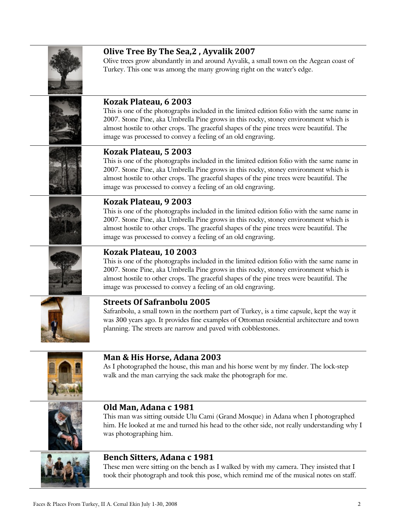| Olive Tree By The Sea, 2, Ayvalik 2007<br>Olive trees grow abundantly in and around Ayvalik, a small town on the Aegean coast of<br>Turkey. This one was among the many growing right on the water's edge.                                                                                                                                                               |
|--------------------------------------------------------------------------------------------------------------------------------------------------------------------------------------------------------------------------------------------------------------------------------------------------------------------------------------------------------------------------|
| Kozak Plateau, 6 2003<br>This is one of the photographs included in the limited edition folio with the same name in<br>2007. Stone Pine, aka Umbrella Pine grows in this rocky, stoney environment which is<br>almost hostile to other crops. The graceful shapes of the pine trees were beautiful. The<br>image was processed to convey a feeling of an old engraving.  |
| Kozak Plateau, 5 2003<br>This is one of the photographs included in the limited edition folio with the same name in<br>2007. Stone Pine, aka Umbrella Pine grows in this rocky, stoney environment which is<br>almost hostile to other crops. The graceful shapes of the pine trees were beautiful. The<br>image was processed to convey a feeling of an old engraving.  |
| Kozak Plateau, 9 2003<br>This is one of the photographs included in the limited edition folio with the same name in<br>2007. Stone Pine, aka Umbrella Pine grows in this rocky, stoney environment which is<br>almost hostile to other crops. The graceful shapes of the pine trees were beautiful. The<br>image was processed to convey a feeling of an old engraving.  |
| Kozak Plateau, 10 2003<br>This is one of the photographs included in the limited edition folio with the same name in<br>2007. Stone Pine, aka Umbrella Pine grows in this rocky, stoney environment which is<br>almost hostile to other crops. The graceful shapes of the pine trees were beautiful. The<br>image was processed to convey a feeling of an old engraving. |
| <b>Streets Of Safranbolu 2005</b><br>Safranbolu, a small town in the northern part of Turkey, is a time capsule, kept the way it<br>was 300 years ago. It provides fine examples of Ottoman residential architecture and town<br>planning. The streets are narrow and paved with cobblestones.                                                                           |
| Man & His Horse, Adana 2003                                                                                                                                                                                                                                                                                                                                              |

As I photographed the house, this man and his horse went by my finder. The lock-step walk and the man carrying the sack make the photograph for me.



## **Old Man, Adana c 1981**

This man was sitting outside Ulu Cami (Grand Mosque) in Adana when I photographed him. He looked at me and turned his head to the other side, not really understanding why I was photographing him.



# **Bench Sitters, Adana c 1981**

These men were sitting on the bench as I walked by with my camera. They insisted that I took their photograph and took this pose, which remind me of the musical notes on staff.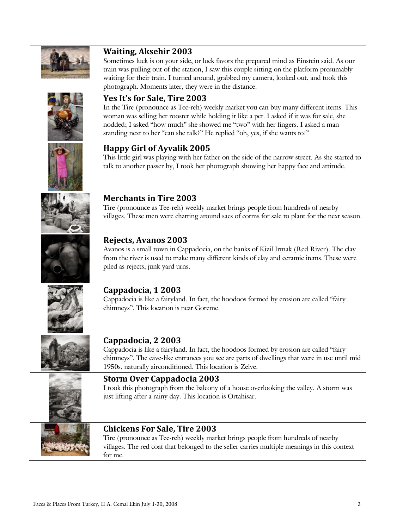

# **Waiting, Aksehir 2003**

Sometimes luck is on your side, or luck favors the prepared mind as Einstein said. As our train was pulling out of the station, I saw this couple sitting on the platform presumably waiting for their train. I turned around, grabbed my camera, looked out, and took this photograph. Moments later, they were in the distance.



## **Yes It's for Sale, Tire 2003**

In the Tire (pronounce as Tee-reh) weekly market you can buy many different items. This woman was selling her rooster while holding it like a pet. I asked if it was for sale, she nodded; I asked "how much" she showed me "two" with her fingers. I asked a man standing next to her "can she talk?" He replied "oh, yes, if she wants to!"



### **Happy Girl of Ayvalik 2005**

This little girl was playing with her father on the side of the narrow street. As she started to talk to another passer by, I took her photograph showing her happy face and attitude.



### **Merchants in Tire 2003**

Tire (pronounce as Tee-reh) weekly market brings people from hundreds of nearby villages. These men were chatting around sacs of corms for sale to plant for the next season.

### **Rejects, Avanos 2003**

Avanos is a small town in Cappadocia, on the banks of Kizil Irmak (Red River). The clay from the river is used to make many different kinds of clay and ceramic items. These were piled as rejects, junk yard urns.



#### **Cappadocia, 1 2003**

Cappadocia is like a fairyland. In fact, the hoodoos formed by erosion are called "fairy chimneys". This location is near Goreme.



### **Cappadocia, 2 2003**

Cappadocia is like a fairyland. In fact, the hoodoos formed by erosion are called "fairy chimneys". The cave-like entrances you see are parts of dwellings that were in use until mid 1950s, naturally airconditioned. This location is Zelve.



#### **Storm Over Cappadocia 2003**

I took this photograph from the balcony of a house overlooking the valley. A storm was just lifting after a rainy day. This location is Ortahisar.



### **Chickens For Sale, Tire 2003**

Tire (pronounce as Tee-reh) weekly market brings people from hundreds of nearby villages. The red coat that belonged to the seller carries multiple meanings in this context for me.